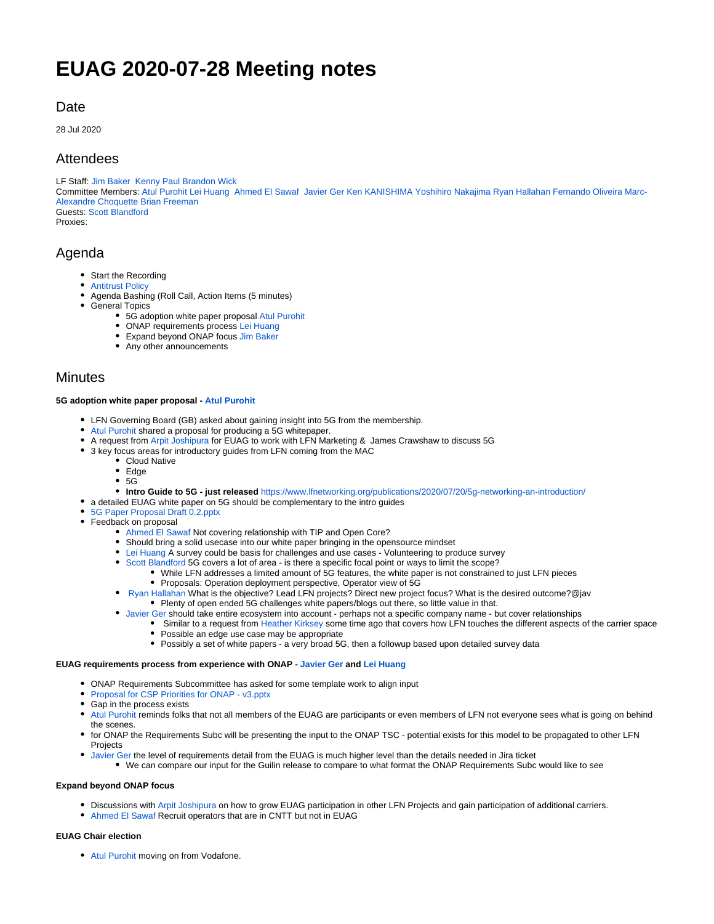# **EUAG 2020-07-28 Meeting notes**

# **Date**

28 Jul 2020

## Attendees

LF Staff: [Jim Baker](https://wiki.lfnetworking.org/display/~mtnskiier) [Kenny Paul](https://wiki.lfnetworking.org/display/~KennyPaul) [Brandon Wick](https://wiki.lfnetworking.org/display/~Bwick)

Committee Members: [Atul Purohit](https://wiki.lfnetworking.org/display/~atulpurohit) [Lei Huang](https://wiki.lfnetworking.org/display/~Lei_Huang) [Ahmed El Sawaf](https://wiki.lfnetworking.org/display/~AhmedSawaf) [Javier Ger](https://wiki.lfnetworking.org/display/~javierger) [Ken KANISHIMA](https://wiki.lfnetworking.org/display/~K.K) [Yoshihiro Nakajima](https://wiki.lfnetworking.org/display/~yoshihironakajima) [Ryan Hallahan](https://wiki.lfnetworking.org/display/~rhallahan) [Fernando Oliveira](https://wiki.lfnetworking.org/display/~foliveira) [Marc-](https://wiki.lfnetworking.org/display/~m.a.c)[Alexandre Choquette](https://wiki.lfnetworking.org/display/~m.a.c) [Brian Freeman](https://wiki.lfnetworking.org/display/~bdfreeman1421) Guests: [Scott Blandford](https://wiki.lfnetworking.org/display/~csbford)

Proxies:

# Agenda

- Start the Recording
- [Antitrust Policy](https://r.lfnetworking.org/Antitrust%20Slide.pdf)
- $\bullet$ Agenda Bashing (Roll Call, Action Items (5 minutes)
- General Topics
	- 5G adoption white paper proposal [Atul Purohit](https://wiki.lfnetworking.org/display/~atulpurohit)
	- ONAP requirements process [Lei Huang](https://wiki.lfnetworking.org/display/~Lei_Huang)
	- Expand beyond ONAP focus [Jim Baker](https://wiki.lfnetworking.org/display/~mtnskiier)
	- Any other announcements

### **Minutes**

### **5G adoption white paper proposal - [Atul Purohit](https://wiki.lfnetworking.org/display/~atulpurohit)**

- LFN Governing Board (GB) asked about gaining insight into 5G from the membership.
- [Atul Purohit](https://wiki.lfnetworking.org/display/~atulpurohit) shared a proposal for producing a 5G whitepaper.
- A request from [Arpit Joshipura](https://wiki.lfnetworking.org/display/~ajoshipura) for EUAG to work with LFN Marketing & James Crawshaw to discuss 5G
- 3 key focus areas for introductory guides from LFN coming from the MAC
	- Cloud Native
	- Edge
	- $\bullet$  5G
	- **Intro Guide to 5G just released** <https://www.lfnetworking.org/publications/2020/07/20/5g-networking-an-introduction/>
- a detailed EUAG white paper on 5G should be complementary to the intro guides
- [5G Paper Proposal Draft 0.2.pptx](https://wiki.lfnetworking.org/download/attachments/40371849/5G%20Paper%20Proposal%20Draft%200.2.pptx?version=1&modificationDate=1595963486000&api=v2)
- Feedback on proposal
	- [Ahmed El Sawaf](https://wiki.lfnetworking.org/display/~AhmedSawaf) Not covering relationship with TIP and Open Core?
	- Should bring a solid usecase into our white paper bringing in the opensource mindset
	- [Lei Huang](https://wiki.lfnetworking.org/display/~Lei_Huang) A survey could be basis for challenges and use cases Volunteering to produce survey
	- [Scott Blandford](https://wiki.lfnetworking.org/display/~csbford) 5G covers a lot of area is there a specific focal point or ways to limit the scope?
		- While LFN addresses a limited amount of 5G features, the white paper is not constrained to just LFN pieces
			- Proposals: Operation deployment perspective, Operator view of 5G
	- [Ryan Hallahan](https://wiki.lfnetworking.org/display/~rhallahan) What is the objective? Lead LFN projects? Direct new project focus? What is the desired outcome?@jav
		- Plenty of open ended 5G challenges white papers/blogs out there, so little value in that.
	- [Javier Ger](https://wiki.lfnetworking.org/display/~javierger) should take entire ecosystem into account perhaps not a specific company name but cover relationships
		- Similar to a request from [Heather Kirksey](https://wiki.lfnetworking.org/display/~hkirksey) some time ago that covers how LFN touches the different aspects of the carrier space • Possible an edge use case may be appropriate
		- Possibly a set of white papers a very broad 5G, then a followup based upon detailed survey data

### **EUAG requirements process from experience with ONAP - [Javier Ger](https://wiki.lfnetworking.org/display/~javierger) and [Lei Huang](https://wiki.lfnetworking.org/display/~Lei_Huang)**

- ONAP Requirements Subcommittee has asked for some template work to align input
- [Proposal for CSP Priorities for ONAP v3.pptx](https://wiki.lfnetworking.org/download/attachments/40371849/Proposal%20for%20CSP%20Priorities%20for%20ONAP%20-%20v3.pptx?version=1&modificationDate=1596015516000&api=v2)
- Gap in the process exists
- [Atul Purohit](https://wiki.lfnetworking.org/display/~atulpurohit) reminds folks that not all members of the EUAG are participants or even members of LFN not everyone sees what is going on behind the scenes.
- for ONAP the Requirements Subc will be presenting the input to the ONAP TSC potential exists for this model to be propagated to other LFN **Projects**
- [Javier Ger](https://wiki.lfnetworking.org/display/~javierger) the level of requirements detail from the EUAG is much higher level than the details needed in Jira ticket We can compare our input for the Guilin release to compare to what format the ONAP Requirements Subc would like to see

### **Expand beyond ONAP focus**

- Discussions with [Arpit Joshipura](https://wiki.lfnetworking.org/display/~ajoshipura) on how to grow EUAG participation in other LFN Projects and gain participation of additional carriers.
- [Ahmed El Sawaf](https://wiki.lfnetworking.org/display/~AhmedSawaf) Recruit operators that are in CNTT but not in EUAG

### **EUAG Chair election**

[Atul Purohit](https://wiki.lfnetworking.org/display/~atulpurohit) moving on from Vodafone.